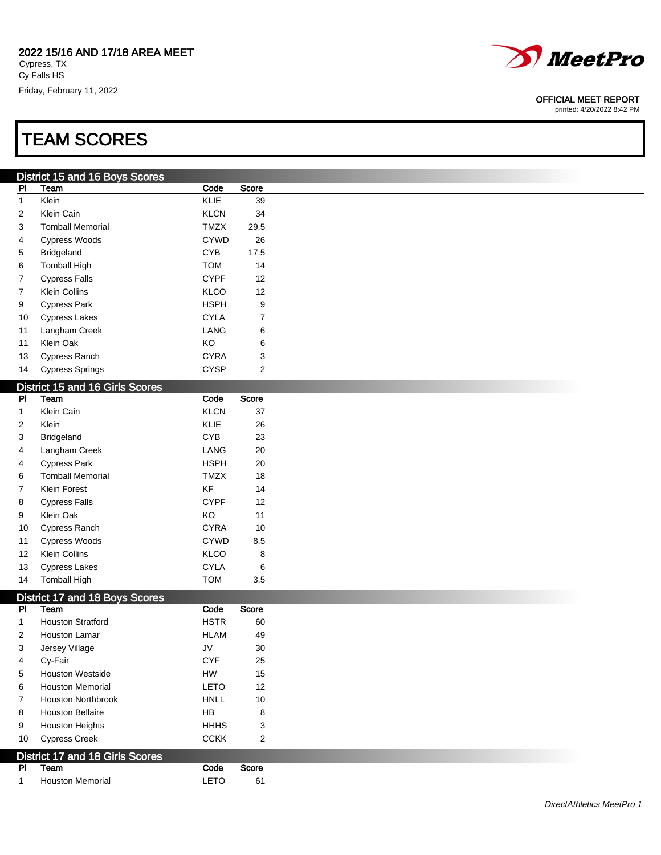Friday, February 11, 2022

## TEAM SCORES

## District 15 and 16 Boys Scores

| PI | Team                    | Code        | Score |
|----|-------------------------|-------------|-------|
| 1  | Klein                   | KLIE        | 39    |
| 2  | Klein Cain              | <b>KLCN</b> | 34    |
| 3  | <b>Tomball Memorial</b> | <b>TMZX</b> | 29.5  |
| 4  | <b>Cypress Woods</b>    | <b>CYWD</b> | 26    |
| 5  | <b>Bridgeland</b>       | <b>CYB</b>  | 17.5  |
| 6  | <b>Tomball High</b>     | <b>TOM</b>  | 14    |
| 7  | <b>Cypress Falls</b>    | <b>CYPF</b> | 12    |
| 7  | Klein Collins           | KLCO        | 12    |
| 9  | <b>Cypress Park</b>     | <b>HSPH</b> | 9     |
| 10 | <b>Cypress Lakes</b>    | CYLA        | 7     |
| 11 | Langham Creek           | LANG        | 6     |
| 11 | Klein Oak               | ΚO          | 6     |
| 13 | <b>Cypress Ranch</b>    | CYRA        | 3     |
| 14 | <b>Cypress Springs</b>  | <b>CYSP</b> | 2     |

## District 15 and 16 Girls Scores

| PI.               | <b>PIOGRAPH IS SHIP SCORE</b><br>Team | Code        | Score |
|-------------------|---------------------------------------|-------------|-------|
| 1                 | Klein Cain                            | <b>KLCN</b> | 37    |
| 2                 | Klein                                 | <b>KLIE</b> | 26    |
| 3                 | Bridgeland                            | <b>CYB</b>  | 23    |
| 4                 | Langham Creek                         | LANG        | 20    |
| 4                 | <b>Cypress Park</b>                   | <b>HSPH</b> | 20    |
| 6                 | <b>Tomball Memorial</b>               | <b>TMZX</b> | 18    |
| $\overline{7}$    | Klein Forest                          | KF          | 14    |
| 8                 | <b>Cypress Falls</b>                  | <b>CYPF</b> | 12    |
| 9                 | Klein Oak                             | KO          | 11    |
| 10                | Cypress Ranch                         | <b>CYRA</b> | 10    |
| 11                | <b>Cypress Woods</b>                  | <b>CYWD</b> | 8.5   |
| $12 \overline{ }$ | <b>Klein Collins</b>                  | <b>KLCO</b> | 8     |
| 13                | <b>Cypress Lakes</b>                  | <b>CYLA</b> | 6     |
| 14                | <b>Tomball High</b>                   | <b>TOM</b>  | 3.5   |

## District 17 and 18 Boys Scores

| <b>PI</b>      | Team                                   | Code        | Score |
|----------------|----------------------------------------|-------------|-------|
| 1              | <b>Houston Stratford</b>               | <b>HSTR</b> | 60    |
| 2              | <b>Houston Lamar</b>                   | <b>HLAM</b> | 49    |
| 3              | Jersey Village                         | JV          | 30    |
| 4              | Cy-Fair                                | <b>CYF</b>  | 25    |
| 5              | <b>Houston Westside</b>                | <b>HW</b>   | 15    |
| 6              | <b>Houston Memorial</b>                | <b>LETO</b> | 12    |
| $\overline{7}$ | <b>Houston Northbrook</b>              | <b>HNLL</b> | 10    |
| 8              | <b>Houston Bellaire</b>                | <b>HB</b>   | 8     |
| 9              | <b>Houston Heights</b>                 | <b>HHHS</b> | 3     |
| 10             | <b>Cypress Creek</b>                   | <b>CCKK</b> | 2     |
|                | <b>District 17 and 18 Girls Scores</b> |             |       |
| <b>PI</b>      | Team                                   | Code        | Score |
|                | <b>Houston Memorial</b>                | <b>LETO</b> | 61    |



#### OFFICIAL MEET REPORT

printed: 4/20/2022 8:42 PM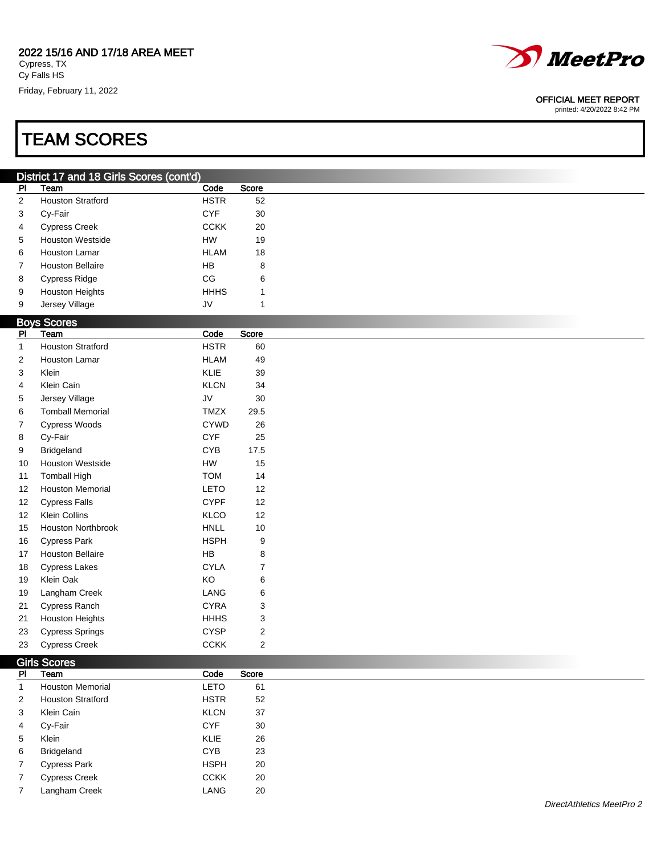Klein KLIE 26 Bridgeland CYB 23 7 Cypress Park **HSPH** 20 7 Cypress Creek CCKK 20 7 Langham Creek LANG 20

Cy Falls HS Friday, February 11, 2022

## TEAM SCORES

|                | District 17 and 18 Girls Scores (cont'd) |             |                         |
|----------------|------------------------------------------|-------------|-------------------------|
| P <sub>1</sub> | Team                                     | Code        | Score                   |
| $\overline{2}$ | <b>Houston Stratford</b>                 | <b>HSTR</b> | 52                      |
| 3              | Cy-Fair                                  | <b>CYF</b>  | 30                      |
| 4              | <b>Cypress Creek</b>                     | <b>CCKK</b> | 20                      |
| 5              | Houston Westside                         | HW          | 19                      |
| 6              | Houston Lamar                            | <b>HLAM</b> | 18                      |
| 7              | <b>Houston Bellaire</b>                  | HB          | 8                       |
| 8              | <b>Cypress Ridge</b>                     | CG          | 6                       |
| 9              | <b>Houston Heights</b>                   | <b>HHHS</b> | 1                       |
| 9              | Jersey Village                           | JV          | $\mathbf{1}$            |
|                | <b>Boys Scores</b>                       |             |                         |
| PI             | Team                                     | Code        | Score                   |
| $\mathbf{1}$   | <b>Houston Stratford</b>                 | <b>HSTR</b> | 60                      |
| $\overline{c}$ | Houston Lamar                            | <b>HLAM</b> | 49                      |
| 3              | Klein                                    | KLIE        | 39                      |
| 4              | Klein Cain                               | <b>KLCN</b> | 34                      |
| 5              | Jersey Village                           | JV          | 30                      |
| 6              | <b>Tomball Memorial</b>                  | TMZX        | 29.5                    |
| 7              | Cypress Woods                            | <b>CYWD</b> | 26                      |
| 8              | Cy-Fair                                  | <b>CYF</b>  | 25                      |
| 9              | Bridgeland                               | CYB         | 17.5                    |
| 10             | <b>Houston Westside</b>                  | ${\sf HW}$  | 15                      |
| 11             | <b>Tomball High</b>                      | <b>TOM</b>  | 14                      |
| 12             | <b>Houston Memorial</b>                  | <b>LETO</b> | 12                      |
| 12             | <b>Cypress Falls</b>                     | <b>CYPF</b> | 12                      |
| 12             | <b>Klein Collins</b>                     | KLCO        | 12                      |
| 15             | <b>Houston Northbrook</b>                | <b>HNLL</b> | $10$                    |
| 16             | <b>Cypress Park</b>                      | <b>HSPH</b> | 9                       |
| 17             | <b>Houston Bellaire</b>                  | HB          | 8                       |
| 18             | <b>Cypress Lakes</b>                     | <b>CYLA</b> | $\boldsymbol{7}$        |
| 19             | Klein Oak                                | KO          | 6                       |
| 19             | Langham Creek                            | LANG        | 6                       |
| 21             | Cypress Ranch                            | <b>CYRA</b> | 3                       |
| 21             | <b>Houston Heights</b>                   | <b>HHHS</b> | 3                       |
| 23             | <b>Cypress Springs</b>                   | <b>CYSP</b> | $\overline{\mathbf{c}}$ |
| 23             | <b>Cypress Creek</b>                     | <b>CCKK</b> | $\overline{c}$          |
|                |                                          |             |                         |
| PI             | <b>Girls Scores</b><br>Team              | Code        | Score                   |
| $\mathbf{1}$   | <b>Houston Memorial</b>                  | LETO        | 61                      |
|                |                                          | <b>HSTR</b> |                         |
| 2              | <b>Houston Stratford</b>                 |             | 52                      |
| 3              | Klein Cain                               | <b>KLCN</b> | 37                      |
| 4              | Cy-Fair                                  | <b>CYF</b>  | 30                      |

DirectAthletics MeetPro 2



### OFFICIAL MEET REPORT

printed: 4/20/2022 8:42 PM